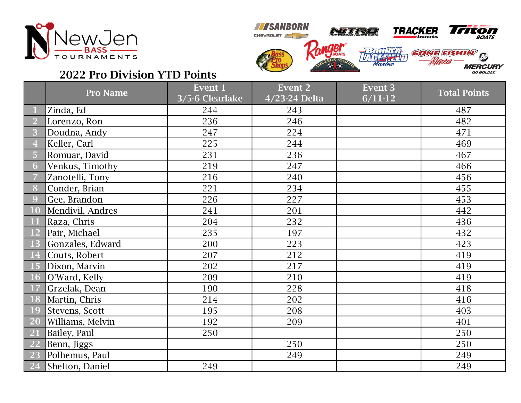



## 2022 Pro Division YTD Points

|                | <b>Pro Name</b>  | Event 1<br>3/5-6 Clearlake | <b>Event 2</b><br>4/23-24 Delta | <b>Event 3</b><br>$6/11-12$ | <b>Total Points</b> |
|----------------|------------------|----------------------------|---------------------------------|-----------------------------|---------------------|
|                | Zinda, Ed        | 244                        | 243                             |                             | 487                 |
| $\overline{2}$ | Lorenzo, Ron     | 236                        | 246                             |                             | 482                 |
| 3              | Doudna, Andy     | 247                        | 224                             |                             | 471                 |
| $\overline{4}$ | Keller, Carl     | 225                        | 244                             |                             | 469                 |
| 5              | Romuar, David    | 231                        | 236                             |                             | 467                 |
| 6              | Venkus, Timothy  | 219                        | 247                             |                             | 466                 |
| 7              | Zanotelli, Tony  | 216                        | 240                             |                             | 456                 |
| 8              | Conder, Brian    | 221                        | 234                             |                             | 455                 |
| 9              | Gee, Brandon     | 226                        | 227                             |                             | 453                 |
| 10             | Mendivil, Andres | 241                        | 201                             |                             | 442                 |
| <b>11</b>      | Raza, Chris      | 204                        | 232                             |                             | 436                 |
| <b>12</b>      | Pair, Michael    | 235                        | 197                             |                             | 432                 |
| 13             | Gonzales, Edward | 200                        | 223                             |                             | 423                 |
| <b>14</b>      | Couts, Robert    | 207                        | 212                             |                             | 419                 |
| <b>15</b>      | Dixon, Marvin    | 202                        | 217                             |                             | 419                 |
| <b>16</b>      | O'Ward, Kelly    | 209                        | 210                             |                             | 419                 |
| 17             | Grzelak, Dean    | 190                        | 228                             |                             | 418                 |
| 18             | Martin, Chris    | 214                        | 202                             |                             | 416                 |
| 19             | Stevens, Scott   | 195                        | 208                             |                             | 403                 |
| <b>20</b>      | Williams, Melvin | 192                        | 209                             |                             | 401                 |
| <b>21</b>      | Bailey, Paul     | 250                        |                                 |                             | 250                 |
| 22             | Benn, Jiggs      |                            | 250                             |                             | 250                 |
| 23             | Polhemus, Paul   |                            | 249                             |                             | 249                 |
| 24             | Shelton, Daniel  | 249                        |                                 |                             | 249                 |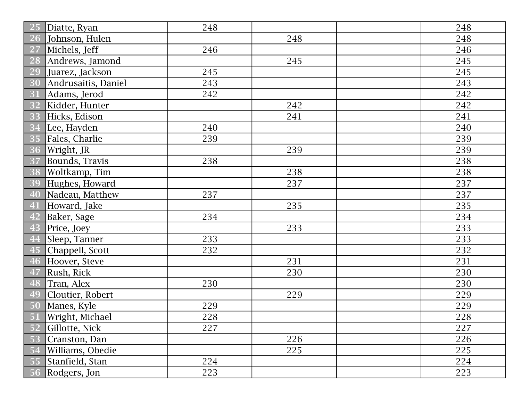| 25        | Diatte, Ryan        | 248 |     | 248 |
|-----------|---------------------|-----|-----|-----|
|           | 26 Johnson, Hulen   |     | 248 | 248 |
| <b>27</b> | Michels, Jeff       | 246 |     | 246 |
| 28        | Andrews, Jamond     |     | 245 | 245 |
| 29        | Juarez, Jackson     | 245 |     | 245 |
| 30        | Andrusaitis, Daniel | 243 |     | 243 |
| 31        | Adams, Jerod        | 242 |     | 242 |
| 32        | Kidder, Hunter      |     | 242 | 242 |
| 33        | Hicks, Edison       |     | 241 | 241 |
| 34        | Lee, Hayden         | 240 |     | 240 |
| 35        | Fales, Charlie      | 239 |     | 239 |
| 36        | Wright, JR          |     | 239 | 239 |
| 37        | Bounds, Travis      | 238 |     | 238 |
| 38        | Woltkamp, Tim       |     | 238 | 238 |
| 39        | Hughes, Howard      |     | 237 | 237 |
| 40        | Nadeau, Matthew     | 237 |     | 237 |
| 41        | Howard, Jake        |     | 235 | 235 |
| 42        | Baker, Sage         | 234 |     | 234 |
| 43        | Price, Joey         |     | 233 | 233 |
| 44        | Sleep, Tanner       | 233 |     | 233 |
| 45        | Chappell, Scott     | 232 |     | 232 |
| 46        | Hoover, Steve       |     | 231 | 231 |
| 47        | Rush, Rick          |     | 230 | 230 |
| 48        | Tran, Alex          | 230 |     | 230 |
| 49        | Cloutier, Robert    |     | 229 | 229 |
| 50        | Manes, Kyle         | 229 |     | 229 |
|           | 51 Wright, Michael  | 228 |     | 228 |
| 52        | Gillotte, Nick      | 227 |     | 227 |
| 53        | Cranston, Dan       |     | 226 | 226 |
| 54        | Williams, Obedie    |     | 225 | 225 |
| 55        | Stanfield, Stan     | 224 |     | 224 |
| 56        | Rodgers, Jon        | 223 |     | 223 |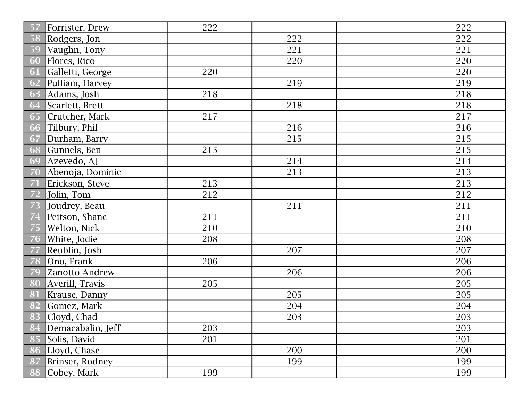| 57 | Forrister, Drew   | 222 |     | 222 |
|----|-------------------|-----|-----|-----|
| 58 | Rodgers, Jon      |     | 222 | 222 |
| 59 | Vaughn, Tony      |     | 221 | 221 |
| 60 | Flores, Rico      |     | 220 | 220 |
| 61 | Galletti, George  | 220 |     | 220 |
| 62 | Pulliam, Harvey   |     | 219 | 219 |
| 63 | Adams, Josh       | 218 |     | 218 |
| 64 | Scarlett, Brett   |     | 218 | 218 |
| 65 | Crutcher, Mark    | 217 |     | 217 |
| 66 | Tilbury, Phil     |     | 216 | 216 |
| 67 | Durham, Barry     |     | 215 | 215 |
| 68 | Gunnels, Ben      | 215 |     | 215 |
| 69 | Azevedo, AJ       |     | 214 | 214 |
| 70 | Abenoja, Dominic  |     | 213 | 213 |
| 71 | Erickson, Steve   | 213 |     | 213 |
| 72 | Jolin, Tom        | 212 |     | 212 |
| 73 | Joudrey, Beau     |     | 211 | 211 |
| 74 | Peitson, Shane    | 211 |     | 211 |
| 75 | Welton, Nick      | 210 |     | 210 |
| 76 | White, Jodie      | 208 |     | 208 |
| 77 | Reublin, Josh     |     | 207 | 207 |
| 78 | Ono, Frank        | 206 |     | 206 |
| 79 | Zanotto Andrew    |     | 206 | 206 |
| 80 | Averill, Travis   | 205 |     | 205 |
| 81 | Krause, Danny     |     | 205 | 205 |
| 82 | Gomez, Mark       |     | 204 | 204 |
|    | 83 Cloyd, Chad    |     | 203 | 203 |
| 84 | Demacabalin, Jeff | 203 |     | 203 |
| 85 | Solis, David      | 201 |     | 201 |
| 86 | Lloyd, Chase      |     | 200 | 200 |
| 87 | Brinser, Rodney   |     | 199 | 199 |
| 88 | Cobey, Mark       | 199 |     | 199 |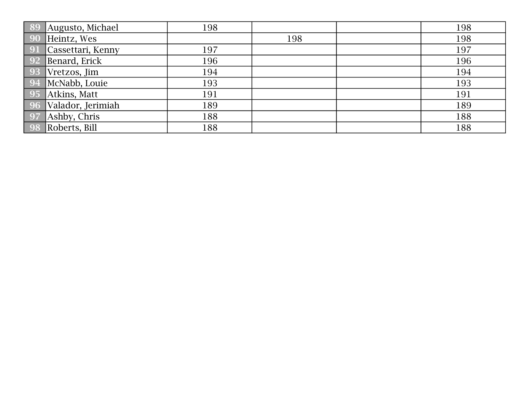| 89          | Augusto, Michael  | 198 |     | 198 |
|-------------|-------------------|-----|-----|-----|
| 90          | Heintz, Wes       |     | 198 | 198 |
| <b>91</b>   | Cassettari, Kenny | 197 |     | 197 |
| $\sqrt{92}$ | Benard, Erick     | 196 |     | 196 |
| 93          | Vretzos, Jim      | 194 |     | 194 |
| 94          | McNabb, Louie     | 193 |     | 193 |
| 95          | Atkins, Matt      | 191 |     | 191 |
| 96          | Valador, Jerimiah | 189 |     | 189 |
| 97          | Ashby, Chris      | 188 |     | 188 |
| 98          | Roberts, Bill     | 188 |     | 188 |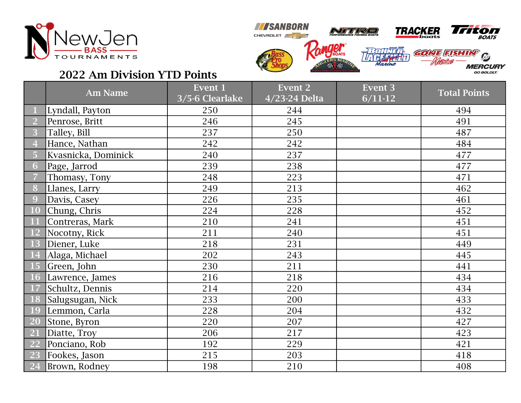



## 2022 Am Division YTD Points

|           | <b>Am Name</b>      | Event 1<br>3/5-6 Clearlake | <b>Event 2</b><br>4/23-24 Delta | <b>Event 3</b><br>$6/11-12$ | <b>Total Points</b> |
|-----------|---------------------|----------------------------|---------------------------------|-----------------------------|---------------------|
|           | Lyndall, Payton     | 250                        | 244                             |                             | 494                 |
|           | Penrose, Britt      | 246                        | 245                             |                             | 491                 |
| 3         | Talley, Bill        | 237                        | 250                             |                             | 487                 |
|           | Hance, Nathan       | 242                        | 242                             |                             | 484                 |
| 5         | Kvasnicka, Dominick | 240                        | 237                             |                             | 477                 |
| 6         | Page, Jarrod        | 239                        | 238                             |                             | 477                 |
|           | Thomasy, Tony       | 248                        | 223                             |                             | 471                 |
| 8         | Llanes, Larry       | 249                        | 213                             |                             | 462                 |
| 9         | Davis, Casey        | 226                        | 235                             |                             | 461                 |
| <b>10</b> | Chung, Chris        | 224                        | 228                             |                             | 452                 |
| 11        | Contreras, Mark     | 210                        | 241                             |                             | 451                 |
| <b>12</b> | Nocotny, Rick       | 211                        | 240                             |                             | 451                 |
| <b>13</b> | Diener, Luke        | 218                        | 231                             |                             | 449                 |
| <b>14</b> | Alaga, Michael      | 202                        | 243                             |                             | 445                 |
| <b>15</b> | Green, John         | 230                        | 211                             |                             | 441                 |
| <b>16</b> | Lawrence, James     | 216                        | 218                             |                             | 434                 |
| 17        | Schultz, Dennis     | 214                        | 220                             |                             | 434                 |
| <b>18</b> | Salugsugan, Nick    | 233                        | 200                             |                             | 433                 |
| 19        | Lemmon, Carla       | 228                        | 204                             |                             | 432                 |
| <b>20</b> | Stone, Byron        | 220                        | 207                             |                             | 427                 |
| 21        | Diatte, Troy        | 206                        | 217                             |                             | 423                 |
| <b>22</b> | Ponciano, Rob       | 192                        | 229                             |                             | 421                 |
| 23        | Fookes, Jason       | 215                        | 203                             |                             | 418                 |
| 24        | Brown, Rodney       | 198                        | 210                             |                             | 408                 |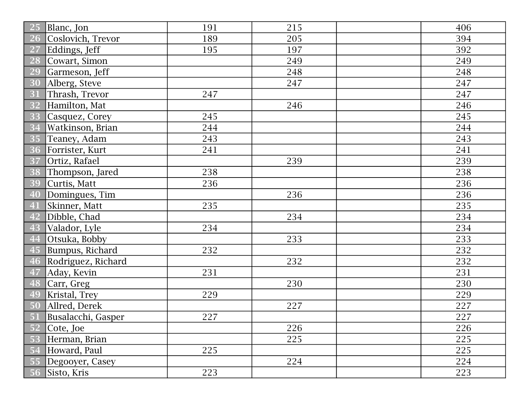| 25<br>Blanc, Jon               | 191 | 215 | 406 |
|--------------------------------|-----|-----|-----|
| Coslovich, Trevor<br><b>26</b> | 189 | 205 | 394 |
| Eddings, Jeff<br><sup>27</sup> | 195 | 197 | 392 |
| 28<br>Cowart, Simon            |     | 249 | 249 |
| 29<br>Garmeson, Jeff           |     | 248 | 248 |
| 30<br>Alberg, Steve            |     | 247 | 247 |
| Thrash, Trevor<br>31           | 247 |     | 247 |
| Hamilton, Mat<br>32            |     | 246 | 246 |
| 33<br>Casquez, Corey           | 245 |     | 245 |
| 34<br>Watkinson, Brian         | 244 |     | 244 |
| 35<br>Teaney, Adam             | 243 |     | 243 |
| 36<br>Forrister, Kurt          | 241 |     | 241 |
| Ortiz, Rafael<br>37            |     | 239 | 239 |
| 38<br>Thompson, Jared          | 238 |     | 238 |
| 39<br>Curtis, Matt             | 236 |     | 236 |
| 40<br>Domingues, Tim           |     | 236 | 236 |
| Skinner, Matt<br>41            | 235 |     | 235 |
| Dibble, Chad<br>42             |     | 234 | 234 |
| Valador, Lyle<br>43            | 234 |     | 234 |
| 44<br>Otsuka, Bobby            |     | 233 | 233 |
| 45<br>Bumpus, Richard          | 232 |     | 232 |
| 46<br>Rodriguez, Richard       |     | 232 | 232 |
| 47<br>Aday, Kevin              | 231 |     | 231 |
| Carr, Greg<br>48               |     | 230 | 230 |
| 49<br>Kristal, Trey            | 229 |     | 229 |
| Allred, Derek<br>50            |     | 227 | 227 |
| 51 Busalacchi, Gasper          | 227 |     | 227 |
| 52<br>Cote, Joe                |     | 226 | 226 |
| Herman, Brian<br>53            |     | 225 | 225 |
| Howard, Paul<br>-54            | 225 |     | 225 |
| Degooyer, Casey<br>55          |     | 224 | 224 |
| Sisto, Kris                    | 223 |     | 223 |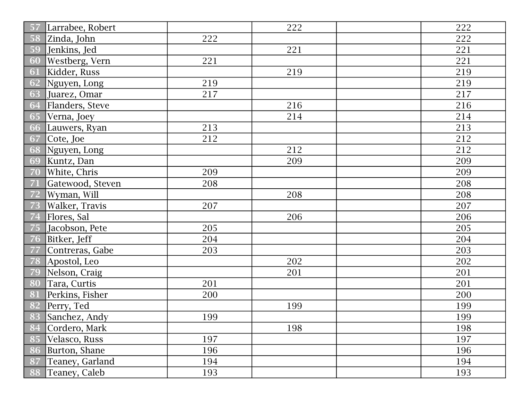| 57 | Larrabee, Robert |     | 222 | 222 |
|----|------------------|-----|-----|-----|
| 58 | Zinda, John      | 222 |     | 222 |
| 59 | Jenkins, Jed     |     | 221 | 221 |
| 60 | Westberg, Vern   | 221 |     | 221 |
| 61 | Kidder, Russ     |     | 219 | 219 |
| 62 | Nguyen, Long     | 219 |     | 219 |
| 63 | Juarez, Omar     | 217 |     | 217 |
| 64 | Flanders, Steve  |     | 216 | 216 |
| 65 | Verna, Joey      |     | 214 | 214 |
| 66 | Lauwers, Ryan    | 213 |     | 213 |
| 67 | Cote, Joe        | 212 |     | 212 |
| 68 | Nguyen, Long     |     | 212 | 212 |
| 69 | Kuntz, Dan       |     | 209 | 209 |
| 70 | White, Chris     | 209 |     | 209 |
| 71 | Gatewood, Steven | 208 |     | 208 |
| 72 | Wyman, Will      |     | 208 | 208 |
| 73 | Walker, Travis   | 207 |     | 207 |
| 74 | Flores, Sal      |     | 206 | 206 |
| 75 | Jacobson, Pete   | 205 |     | 205 |
| 76 | Bitker, Jeff     | 204 |     | 204 |
| 77 | Contreras, Gabe  | 203 |     | 203 |
| 78 | Apostol, Leo     |     | 202 | 202 |
| 79 | Nelson, Craig    |     | 201 | 201 |
| 80 | Tara, Curtis     | 201 |     | 201 |
| 81 | Perkins, Fisher  | 200 |     | 200 |
| 82 | Perry, Ted       |     | 199 | 199 |
|    | 83 Sanchez, Andy | 199 |     | 199 |
| 84 | Cordero, Mark    |     | 198 | 198 |
| 85 | Velasco, Russ    | 197 |     | 197 |
| 86 | Burton, Shane    | 196 |     | 196 |
| 87 | Teaney, Garland  | 194 |     | 194 |
| 88 | Teaney, Caleb    | 193 |     | 193 |